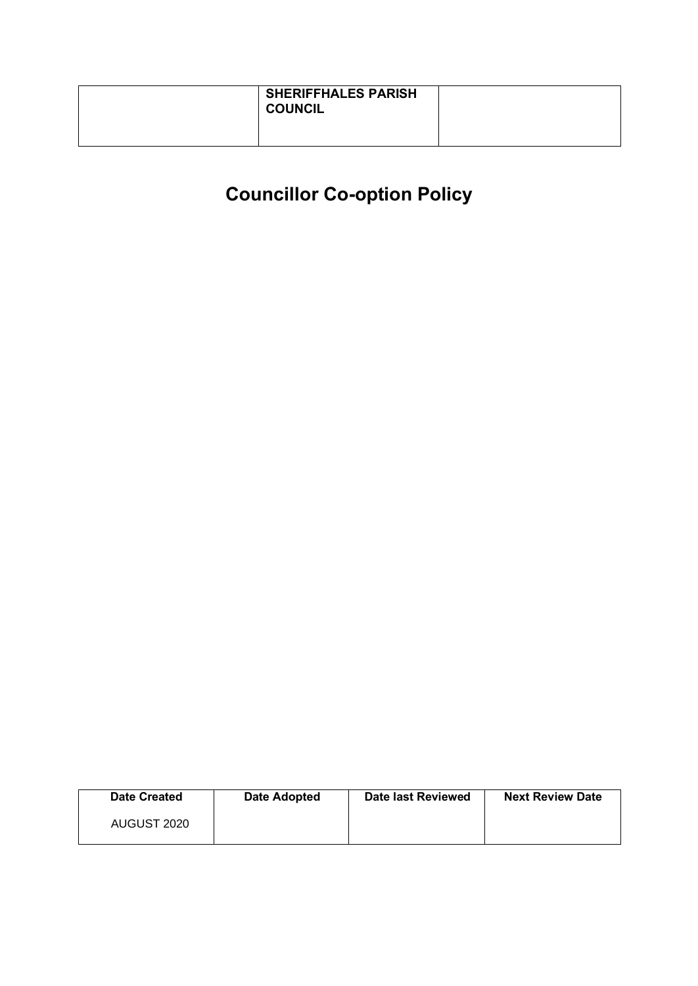| <b>SHERIFFHALES PARISH</b><br><b>COUNCIL</b> |  |
|----------------------------------------------|--|
|                                              |  |

| Date Created | <b>Date Adopted</b> | Date last Reviewed | <b>Next Review Date</b> |
|--------------|---------------------|--------------------|-------------------------|
| AUGUST 2020  |                     |                    |                         |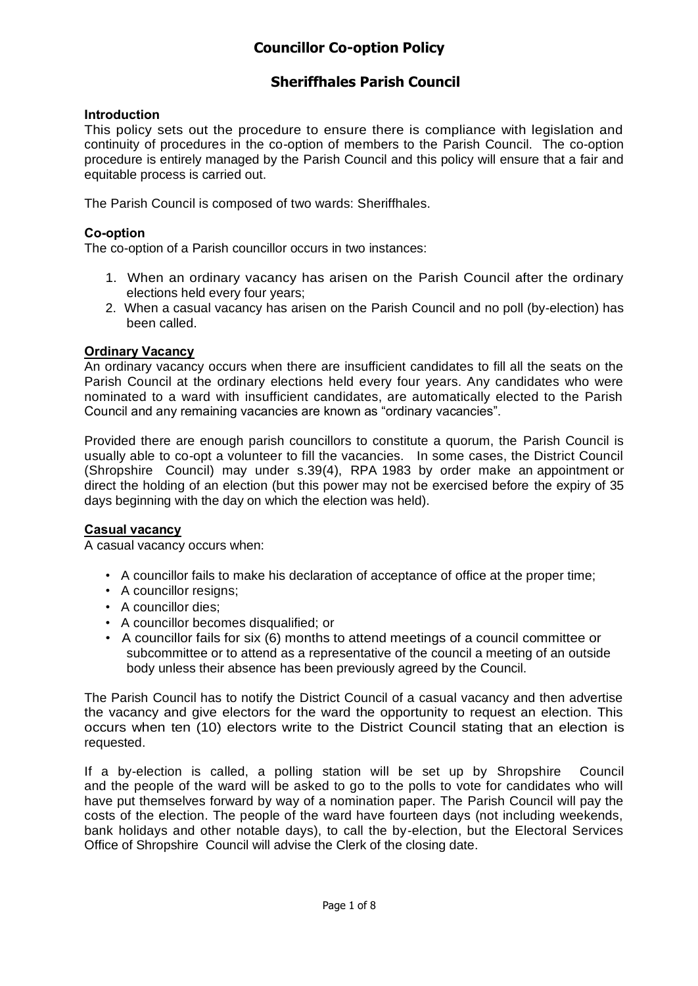### **Sheriffhales Parish Council**

#### **Introduction**

This policy sets out the procedure to ensure there is compliance with legislation and continuity of procedures in the co-option of members to the Parish Council. The co-option procedure is entirely managed by the Parish Council and this policy will ensure that a fair and equitable process is carried out.

The Parish Council is composed of two wards: Sheriffhales.

#### **Co-option**

The co-option of a Parish councillor occurs in two instances:

- 1. When an ordinary vacancy has arisen on the Parish Council after the ordinary elections held every four years;
- 2. When a casual vacancy has arisen on the Parish Council and no poll (by-election) has been called.

#### **Ordinary Vacancy**

An ordinary vacancy occurs when there are insufficient candidates to fill all the seats on the Parish Council at the ordinary elections held every four years. Any candidates who were nominated to a ward with insufficient candidates, are automatically elected to the Parish Council and any remaining vacancies are known as "ordinary vacancies".

Provided there are enough parish councillors to constitute a quorum, the Parish Council is usually able to co-opt a volunteer to fill the vacancies. In some cases, the District Council (Shropshire Council) may under s.39(4), RPA 1983 by order make an appointment or direct the holding of an election (but this power may not be exercised before the expiry of 35 days beginning with the day on which the election was held).

#### **Casual vacancy**

A casual vacancy occurs when:

- A councillor fails to make his declaration of acceptance of office at the proper time;
- A councillor resigns;
- A councillor dies;
- A councillor becomes disqualified; or
- A councillor fails for six (6) months to attend meetings of a council committee or subcommittee or to attend as a representative of the council a meeting of an outside body unless their absence has been previously agreed by the Council.

The Parish Council has to notify the District Council of a casual vacancy and then advertise the vacancy and give electors for the ward the opportunity to request an election. This occurs when ten (10) electors write to the District Council stating that an election is requested.

If a by-election is called, a polling station will be set up by Shropshire Council and the people of the ward will be asked to go to the polls to vote for candidates who will have put themselves forward by way of a nomination paper. The Parish Council will pay the costs of the election. The people of the ward have fourteen days (not including weekends, bank holidays and other notable days), to call the by-election, but the Electoral Services Office of Shropshire Council will advise the Clerk of the closing date.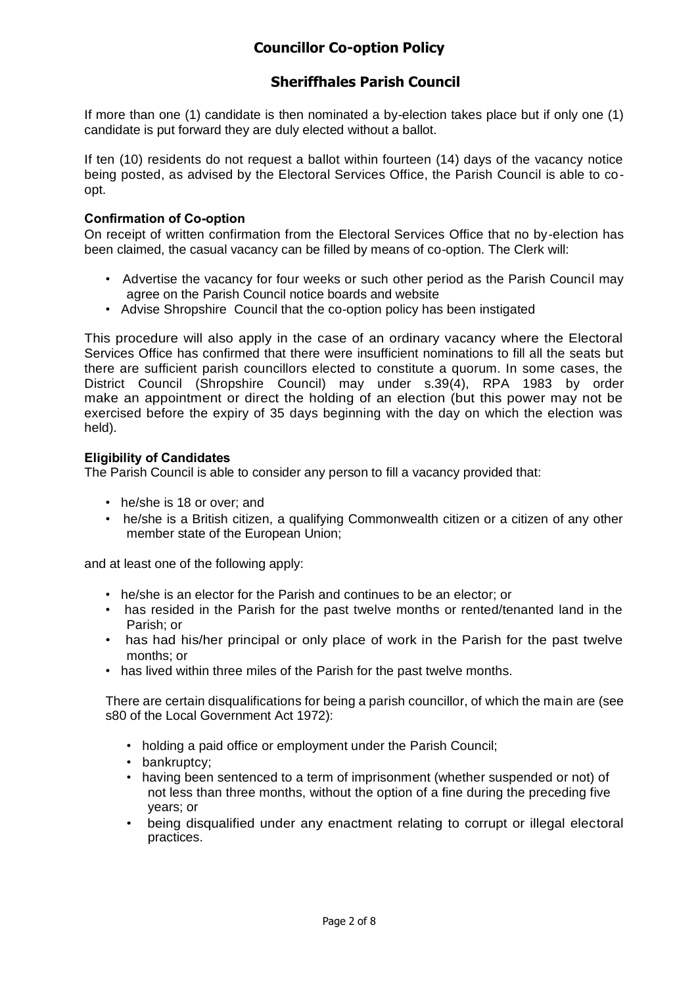### **Sheriffhales Parish Council**

If more than one (1) candidate is then nominated a by-election takes place but if only one (1) candidate is put forward they are duly elected without a ballot.

If ten (10) residents do not request a ballot within fourteen (14) days of the vacancy notice being posted, as advised by the Electoral Services Office, the Parish Council is able to coopt.

#### **Confirmation of Co-option**

On receipt of written confirmation from the Electoral Services Office that no by-election has been claimed, the casual vacancy can be filled by means of co-option. The Clerk will:

- Advertise the vacancy for four weeks or such other period as the Parish Council may agree on the Parish Council notice boards and website
- Advise Shropshire Council that the co-option policy has been instigated

This procedure will also apply in the case of an ordinary vacancy where the Electoral Services Office has confirmed that there were insufficient nominations to fill all the seats but there are sufficient parish councillors elected to constitute a quorum. In some cases, the District Council (Shropshire Council) may under s.39(4), RPA 1983 by order make an appointment or direct the holding of an election (but this power may not be exercised before the expiry of 35 days beginning with the day on which the election was held).

#### **Eligibility of Candidates**

The Parish Council is able to consider any person to fill a vacancy provided that:

- he/she is 18 or over; and
- he/she is a British citizen, a qualifying Commonwealth citizen or a citizen of any other member state of the European Union;

and at least one of the following apply:

- he/she is an elector for the Parish and continues to be an elector; or
- has resided in the Parish for the past twelve months or rented/tenanted land in the Parish; or
- has had his/her principal or only place of work in the Parish for the past twelve months; or
- has lived within three miles of the Parish for the past twelve months.

There are certain disqualifications for being a parish councillor, of which the main are (see s80 of the Local Government Act 1972):

- holding a paid office or employment under the Parish Council;
- bankruptcy;
- having been sentenced to a term of imprisonment (whether suspended or not) of not less than three months, without the option of a fine during the preceding five years; or
- being disqualified under any enactment relating to corrupt or illegal electoral practices.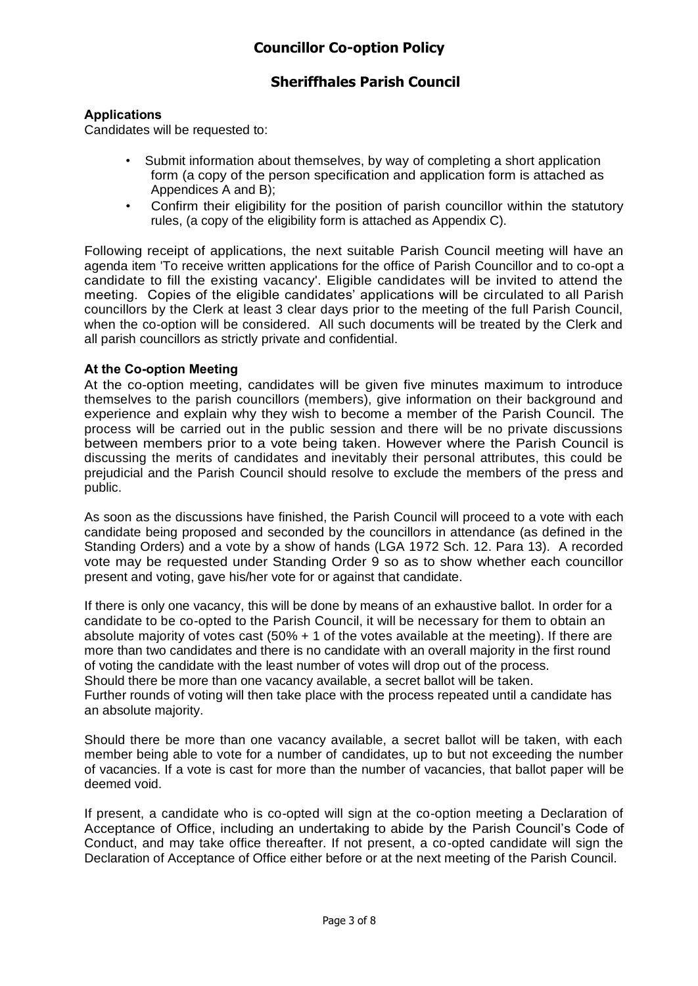### **Sheriffhales Parish Council**

#### **Applications**

Candidates will be requested to:

- Submit information about themselves, by way of completing a short application form (a copy of the person specification and application form is attached as Appendices A and B);
- Confirm their eligibility for the position of parish councillor within the statutory rules, (a copy of the eligibility form is attached as Appendix C).

Following receipt of applications, the next suitable Parish Council meeting will have an agenda item 'To receive written applications for the office of Parish Councillor and to co-opt a candidate to fill the existing vacancy'. Eligible candidates will be invited to attend the meeting. Copies of the eligible candidates' applications will be circulated to all Parish councillors by the Clerk at least 3 clear days prior to the meeting of the full Parish Council, when the co-option will be considered. All such documents will be treated by the Clerk and all parish councillors as strictly private and confidential.

#### **At the Co-option Meeting**

At the co-option meeting, candidates will be given five minutes maximum to introduce themselves to the parish councillors (members), give information on their background and experience and explain why they wish to become a member of the Parish Council. The process will be carried out in the public session and there will be no private discussions between members prior to a vote being taken. However where the Parish Council is discussing the merits of candidates and inevitably their personal attributes, this could be prejudicial and the Parish Council should resolve to exclude the members of the press and public.

As soon as the discussions have finished, the Parish Council will proceed to a vote with each candidate being proposed and seconded by the councillors in attendance (as defined in the Standing Orders) and a vote by a show of hands (LGA 1972 Sch. 12. Para 13). A recorded vote may be requested under Standing Order 9 so as to show whether each councillor present and voting, gave his/her vote for or against that candidate.

If there is only one vacancy, this will be done by means of an exhaustive ballot. In order for a candidate to be co-opted to the Parish Council, it will be necessary for them to obtain an absolute majority of votes cast (50% + 1 of the votes available at the meeting). If there are more than two candidates and there is no candidate with an overall majority in the first round of voting the candidate with the least number of votes will drop out of the process.

Should there be more than one vacancy available, a secret ballot will be taken.

Further rounds of voting will then take place with the process repeated until a candidate has an absolute majority.

Should there be more than one vacancy available, a secret ballot will be taken, with each member being able to vote for a number of candidates, up to but not exceeding the number of vacancies. If a vote is cast for more than the number of vacancies, that ballot paper will be deemed void.

If present, a candidate who is co-opted will sign at the co-option meeting a Declaration of Acceptance of Office, including an undertaking to abide by the Parish Council's Code of Conduct, and may take office thereafter. If not present, a co-opted candidate will sign the Declaration of Acceptance of Office either before or at the next meeting of the Parish Council.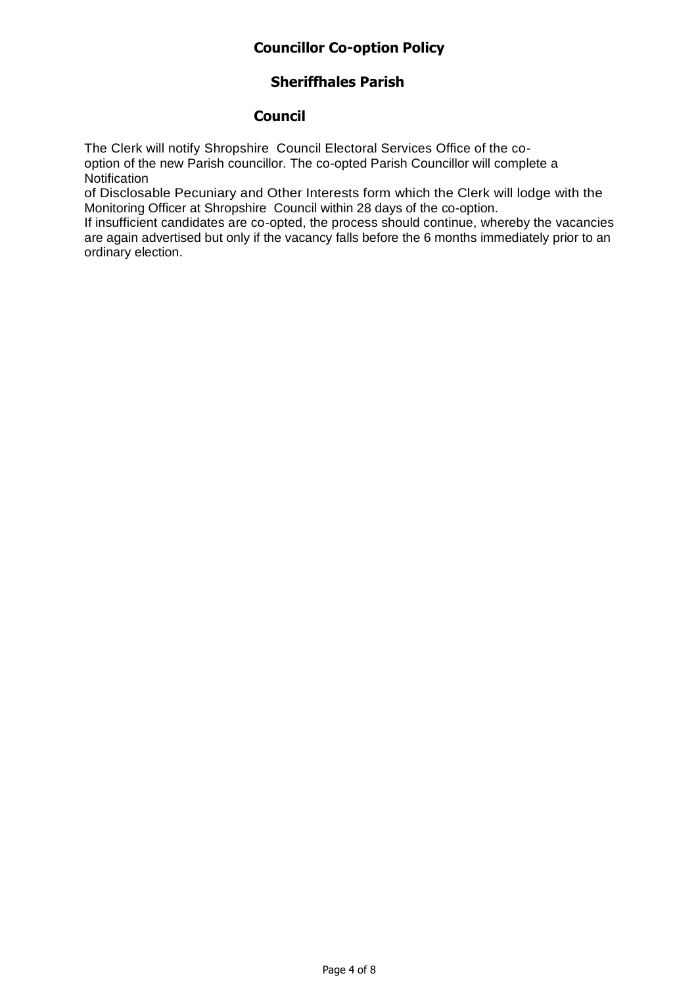### **Sheriffhales Parish**

### **Council**

The Clerk will notify Shropshire Council Electoral Services Office of the cooption of the new Parish councillor. The co-opted Parish Councillor will complete a **Notification** 

of Disclosable Pecuniary and Other Interests form which the Clerk will lodge with the Monitoring Officer at Shropshire Council within 28 days of the co-option.

If insufficient candidates are co-opted, the process should continue, whereby the vacancies are again advertised but only if the vacancy falls before the 6 months immediately prior to an ordinary election.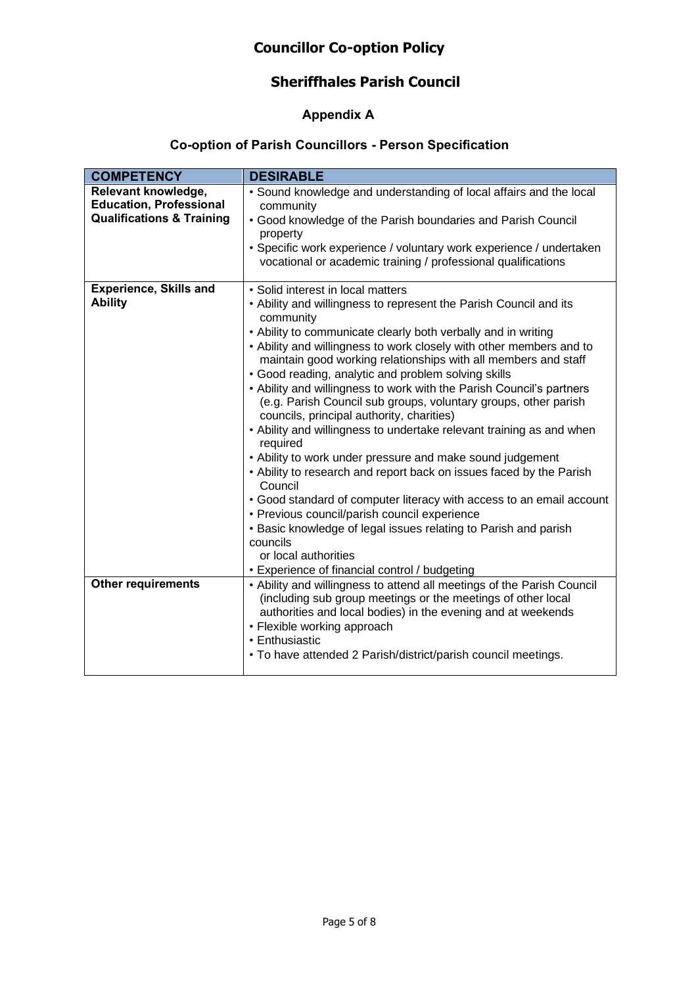### **Sheriffhales Parish Council**

### **Appendix A**

### **Co-option of Parish Councillors - Person Specification**

| <b>COMPETENCY</b>                    | <b>DESIRABLE</b>                                                                                                                                                                                                                      |
|--------------------------------------|---------------------------------------------------------------------------------------------------------------------------------------------------------------------------------------------------------------------------------------|
| Relevant knowledge,                  | · Sound knowledge and understanding of local affairs and the local                                                                                                                                                                    |
| <b>Education, Professional</b>       | community                                                                                                                                                                                                                             |
| <b>Qualifications &amp; Training</b> | • Good knowledge of the Parish boundaries and Parish Council                                                                                                                                                                          |
|                                      | property                                                                                                                                                                                                                              |
|                                      | · Specific work experience / voluntary work experience / undertaken<br>vocational or academic training / professional qualifications                                                                                                  |
| <b>Experience, Skills and</b>        | · Solid interest in local matters                                                                                                                                                                                                     |
| <b>Ability</b>                       | • Ability and willingness to represent the Parish Council and its<br>community                                                                                                                                                        |
|                                      | • Ability to communicate clearly both verbally and in writing                                                                                                                                                                         |
|                                      | • Ability and willingness to work closely with other members and to<br>maintain good working relationships with all members and staff                                                                                                 |
|                                      | • Good reading, analytic and problem solving skills                                                                                                                                                                                   |
|                                      | • Ability and willingness to work with the Parish Council's partners                                                                                                                                                                  |
|                                      | (e.g. Parish Council sub groups, voluntary groups, other parish<br>councils, principal authority, charities)                                                                                                                          |
|                                      | • Ability and willingness to undertake relevant training as and when<br>required                                                                                                                                                      |
|                                      | • Ability to work under pressure and make sound judgement                                                                                                                                                                             |
|                                      | • Ability to research and report back on issues faced by the Parish<br>Council                                                                                                                                                        |
|                                      | • Good standard of computer literacy with access to an email account<br>• Previous council/parish council experience                                                                                                                  |
|                                      | • Basic knowledge of legal issues relating to Parish and parish                                                                                                                                                                       |
|                                      | councils                                                                                                                                                                                                                              |
|                                      | or local authorities                                                                                                                                                                                                                  |
|                                      | • Experience of financial control / budgeting                                                                                                                                                                                         |
| <b>Other requirements</b>            | • Ability and willingness to attend all meetings of the Parish Council<br>(including sub group meetings or the meetings of other local<br>authorities and local bodies) in the evening and at weekends<br>• Flexible working approach |
|                                      | • Enthusiastic                                                                                                                                                                                                                        |
|                                      | • To have attended 2 Parish/district/parish council meetings.                                                                                                                                                                         |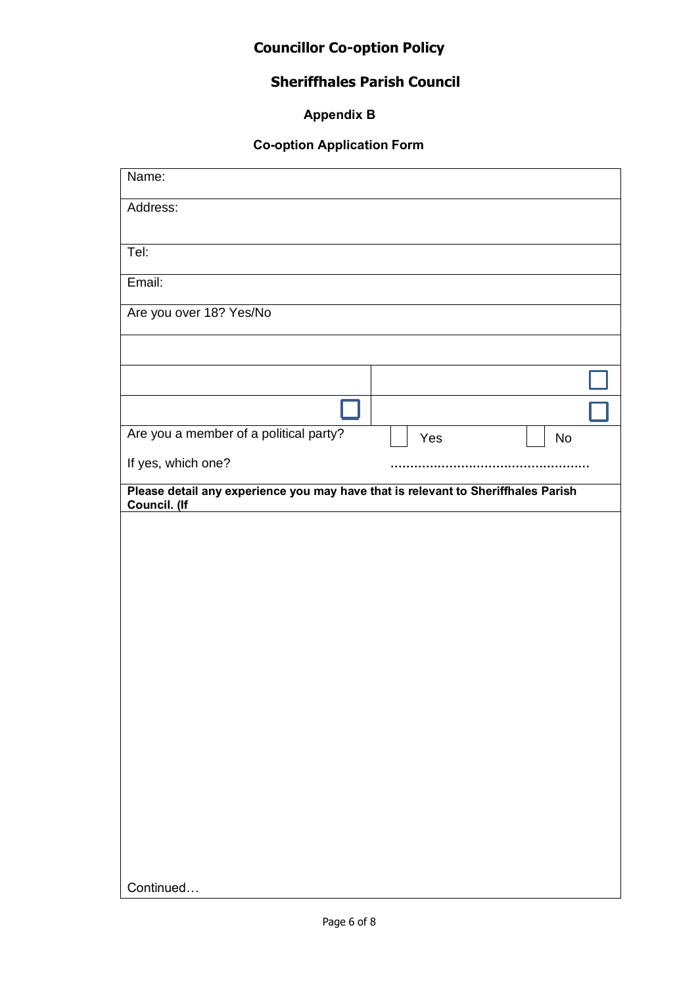# **Sheriffhales Parish Council**

| <b>Appendix B</b> |  |
|-------------------|--|

### **Co-option Application Form**

| Name:                                                                                             |     |           |
|---------------------------------------------------------------------------------------------------|-----|-----------|
| Address:                                                                                          |     |           |
| Tel:                                                                                              |     |           |
|                                                                                                   |     |           |
| Email:                                                                                            |     |           |
| Are you over 18? Yes/No                                                                           |     |           |
|                                                                                                   |     |           |
|                                                                                                   |     |           |
|                                                                                                   |     |           |
| Are you a member of a political party?                                                            | Yes | <b>No</b> |
| If yes, which one?                                                                                |     |           |
| Please detail any experience you may have that is relevant to Sheriffhales Parish<br>Council. (If |     |           |
|                                                                                                   |     |           |
|                                                                                                   |     |           |
|                                                                                                   |     |           |
|                                                                                                   |     |           |
|                                                                                                   |     |           |
|                                                                                                   |     |           |
|                                                                                                   |     |           |
|                                                                                                   |     |           |
|                                                                                                   |     |           |
|                                                                                                   |     |           |
|                                                                                                   |     |           |
|                                                                                                   |     |           |
|                                                                                                   |     |           |
|                                                                                                   |     |           |
| Continued                                                                                         |     |           |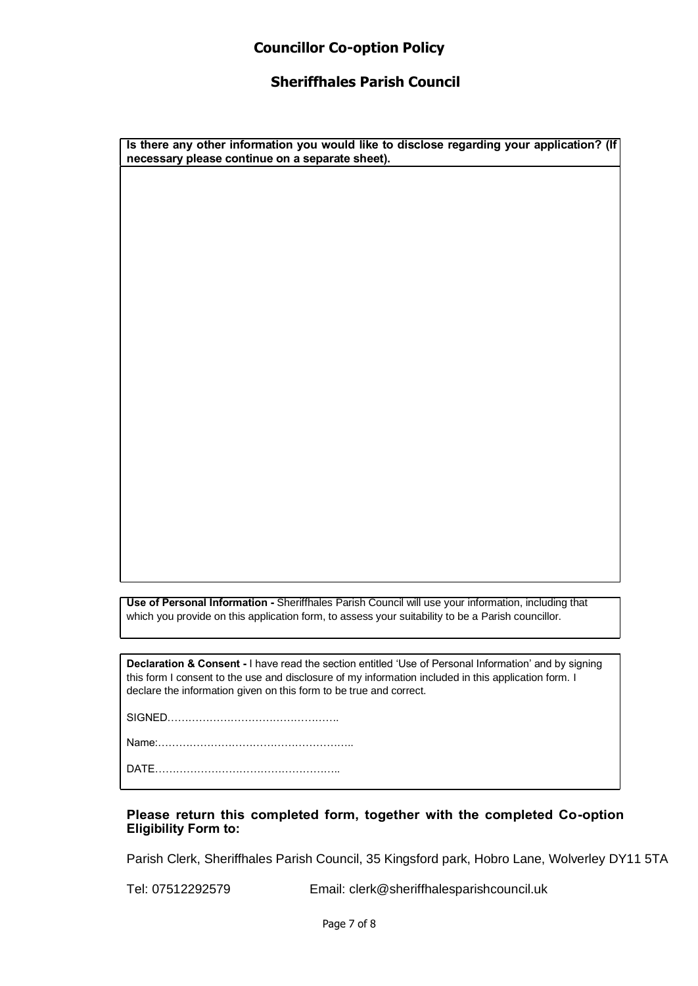#### **Sheriffhales Parish Council**

**Is there any other information you would like to disclose regarding your application? (If necessary please continue on a separate sheet).**

**Use of Personal Information -** Sheriffhales Parish Council will use your information, including that which you provide on this application form, to assess your suitability to be a Parish councillor.

**Declaration & Consent -** I have read the section entitled 'Use of Personal Information' and by signing this form I consent to the use and disclosure of my information included in this application form. I declare the information given on this form to be true and correct.

SIGNED………………………………………….

Name:………………………………………………..

DATE……………………………………………..

#### **Please return this completed form, together with the completed Co-option Eligibility Form to:**

Parish Clerk, Sheriffhales Parish Council, 35 Kingsford park, Hobro Lane, Wolverley DY11 5TA

Tel: 07512292579 Email: clerk@sheriffhalesparishcouncil.uk